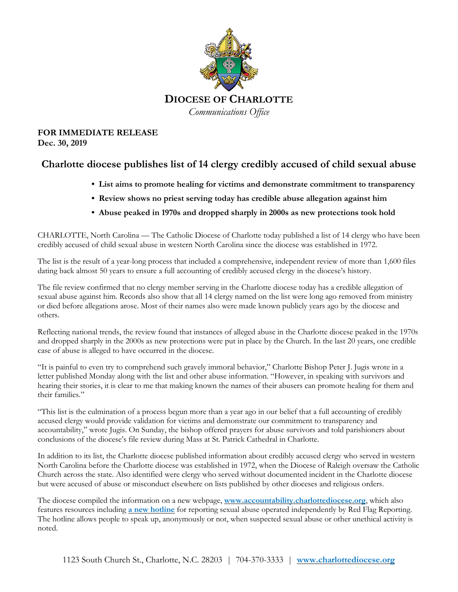

## **FOR IMMEDIATE RELEASE Dec. 30, 2019**

## **Charlotte diocese publishes list of 14 clergy credibly accused of child sexual abuse**

- **• List aims to promote healing for victims and demonstrate commitment to transparency**
- **• Review shows no priest serving today has credible abuse allegation against him**
- **• Abuse peaked in 1970s and dropped sharply in 2000s as new protections took hold**

CHARLOTTE, North Carolina — The Catholic Diocese of Charlotte today published a list of 14 clergy who have been credibly accused of child sexual abuse in western North Carolina since the diocese was established in 1972.

The list is the result of a year-long process that included a comprehensive, independent review of more than 1,600 files dating back almost 50 years to ensure a full accounting of credibly accused clergy in the diocese's history.

The file review confirmed that no clergy member serving in the Charlotte diocese today has a credible allegation of sexual abuse against him. Records also show that all 14 clergy named on the list were long ago removed from ministry or died before allegations arose. Most of their names also were made known publicly years ago by the diocese and others.

Reflecting national trends, the review found that instances of alleged abuse in the Charlotte diocese peaked in the 1970s and dropped sharply in the 2000s as new protections were put in place by the Church. In the last 20 years, one credible case of abuse is alleged to have occurred in the diocese.

"It is painful to even try to comprehend such gravely immoral behavior," Charlotte Bishop Peter J. Jugis wrote in a letter published Monday along with the list and other abuse information. "However, in speaking with survivors and hearing their stories, it is clear to me that making known the names of their abusers can promote healing for them and their families."

"This list is the culmination of a process begun more than a year ago in our belief that a full accounting of credibly accused clergy would provide validation for victims and demonstrate our commitment to transparency and accountability," wrote Jugis. On Sunday, the bishop offered prayers for abuse survivors and told parishioners about conclusions of the diocese's file review during Mass at St. Patrick Cathedral in Charlotte.

In addition to its list, the Charlotte diocese published information about credibly accused clergy who served in western North Carolina before the Charlotte diocese was established in 1972, when the Diocese of Raleigh oversaw the Catholic Church across the state. Also identified were clergy who served without documented incident in the Charlotte diocese but were accused of abuse or misconduct elsewhere on lists published by other dioceses and religious orders.

The diocese compiled the information on a new webpage, **[www.accountability.charlottediocese.org](https://accountability.charlottediocese.org/)**, which also features resources including **a new [hotline](https://redflagreporting.com/RCDOC)** for reporting sexual abuse operated independently by Red Flag Reporting. The hotline allows people to speak up, anonymously or not, when suspected sexual abuse or other unethical activity is noted.